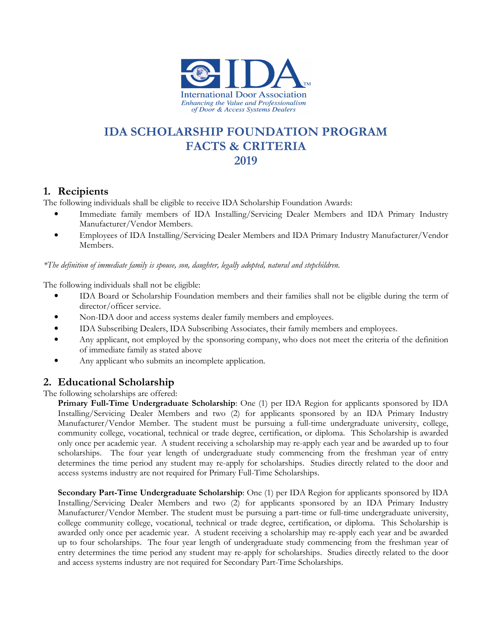

# **IDA SCHOLARSHIP FOUNDATION PROGRAM FACTS & CRITERIA 2019**

#### **1. Recipients**

The following individuals shall be eligible to receive IDA Scholarship Foundation Awards:

- Immediate family members of IDA Installing/Servicing Dealer Members and IDA Primary Industry Manufacturer/Vendor Members.
- Employees of IDA Installing/Servicing Dealer Members and IDA Primary Industry Manufacturer/Vendor Members.

*\*The definition of immediate family is spouse, son, daughter, legally adopted, natural and stepchildren.* 

The following individuals shall not be eligible:

- IDA Board or Scholarship Foundation members and their families shall not be eligible during the term of director/officer service.
- Non-IDA door and access systems dealer family members and employees.
- IDA Subscribing Dealers, IDA Subscribing Associates, their family members and employees.
- Any applicant, not employed by the sponsoring company, who does not meet the criteria of the definition of immediate family as stated above
- Any applicant who submits an incomplete application.

# **2. Educational Scholarship**

The following scholarships are offered:

**Primary Full-Time Undergraduate Scholarship**: One (1) per IDA Region for applicants sponsored by IDA Installing/Servicing Dealer Members and two (2) for applicants sponsored by an IDA Primary Industry Manufacturer/Vendor Member. The student must be pursuing a full-time undergraduate university, college, community college, vocational, technical or trade degree, certification, or diploma. This Scholarship is awarded only once per academic year. A student receiving a scholarship may re-apply each year and be awarded up to four scholarships. The four year length of undergraduate study commencing from the freshman year of entry determines the time period any student may re-apply for scholarships. Studies directly related to the door and access systems industry are not required for Primary Full-Time Scholarships.

**Secondary Part-Time Undergraduate Scholarship**: One (1) per IDA Region for applicants sponsored by IDA Installing/Servicing Dealer Members and two (2) for applicants sponsored by an IDA Primary Industry Manufacturer/Vendor Member. The student must be pursuing a part-time or full-time undergraduate university, college community college, vocational, technical or trade degree, certification, or diploma. This Scholarship is awarded only once per academic year. A student receiving a scholarship may re-apply each year and be awarded up to four scholarships. The four year length of undergraduate study commencing from the freshman year of entry determines the time period any student may re-apply for scholarships. Studies directly related to the door and access systems industry are not required for Secondary Part-Time Scholarships.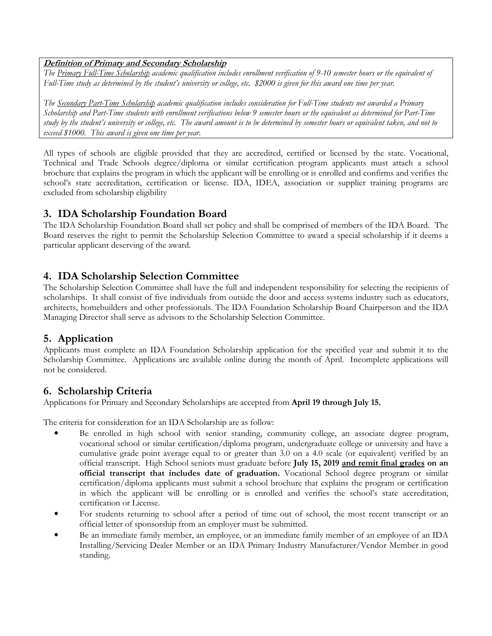#### **Definition of Primary and Secondary Scholarship**

*The Primary Full-Time Scholarship academic qualification includes enrollment verification of 9-10 semester hours or the equivalent of Full-Time study as determined by the student's university or college, etc. \$2000 is given for this award one time per year.* 

*The Secondary Part-Time Scholarship academic qualification includes consideration for Full-Time students not awarded a Primary Scholarship and Part-Time students with enrollment verifications below 9 semester hours or the equivalent as determined for Part-Time study by the student's university or college, etc. The award amount is to be determined by semester hours or equivalent taken, and not to exceed \$1000. This award is given one time per year.* 

All types of schools are eligible provided that they are accredited, certified or licensed by the state. Vocational, Technical and Trade Schools degree/diploma or similar certification program applicants must attach a school brochure that explains the program in which the applicant will be enrolling or is enrolled and confirms and verifies the school's state accreditation, certification or license. IDA, IDEA, association or supplier training programs are excluded from scholarship eligibility

#### **3. IDA Scholarship Foundation Board**

The IDA Scholarship Foundation Board shall set policy and shall be comprised of members of the IDA Board. The Board reserves the right to permit the Scholarship Selection Committee to award a special scholarship if it deems a particular applicant deserving of the award.

# **4. IDA Scholarship Selection Committee**

The Scholarship Selection Committee shall have the full and independent responsibility for selecting the recipients of scholarships. It shall consist of five individuals from outside the door and access systems industry such as educators, architects, homebuilders and other professionals. The IDA Foundation Scholarship Board Chairperson and the IDA Managing Director shall serve as advisors to the Scholarship Selection Committee.

# **5. Application**

Applicants must complete an IDA Foundation Scholarship application for the specified year and submit it to the Scholarship Committee. Applications are available online during the month of April. Incomplete applications will not be considered.

# **6. Scholarship Criteria**

Applications for Primary and Secondary Scholarships are accepted from **April 19 through July 15.**

The criteria for consideration for an IDA Scholarship are as follow:

- Be enrolled in high school with senior standing, community college, an associate degree program, vocational school or similar certification/diploma program, undergraduate college or university and have a cumulative grade point average equal to or greater than 3.0 on a 4.0 scale (or equivalent) verified by an official transcript. High School seniors must graduate before **July 15, 2019 and remit final grades on an official transcript that includes date of graduation.** Vocational School degree program or similar certification/diploma applicants must submit a school brochure that explains the program or certification in which the applicant will be enrolling or is enrolled and verifies the school's state accreditation, certification or License.
- For students returning to school after a period of time out of school, the most recent transcript or an official letter of sponsorship from an employer must be submitted.
- Be an immediate family member, an employee, or an immediate family member of an employee of an IDA Installing/Servicing Dealer Member or an IDA Primary Industry Manufacturer/Vendor Member in good standing.